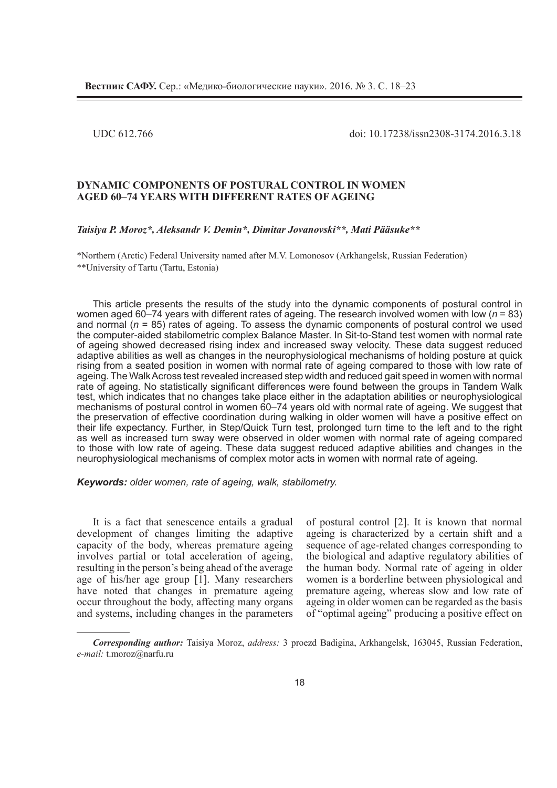UDC 612.766 doi: 10.17238/issn2308-3174.2016.3.18

## **DYNAMIC COMPONENTS OF POSTURAL CONTROL IN WOMEN AGED 60–74 YEARS WITH DIFFERENT RATES OF AGEING**

### *Taisiya P. Moroz\*, Aleksandr V. Demin\*, Dimitar Jovanovski\*\*, Mati Pääsuke\*\**

\*Northern (Arctic) Federal University named after M.V. Lomonosov (Arkhangelsk, Russian federation) \*\*University of Tartu (Tartu, Estonia)

This article presents the results of the study into the dynamic components of postural control in women aged 60–74 years with different rates of ageing. The research involved women with low (*n* = 83) and normal (*n* = 85) rates of ageing. To assess the dynamic components of postural control we used the computer-aided stabilometric complex Balance Master. In Sit-to-Stand test women with normal rate of ageing showed decreased rising index and increased sway velocity. These data suggest reduced adaptive abilities as well as changes in the neurophysiological mechanisms of holding posture at quick rising from a seated position in women with normal rate of ageing compared to those with low rate of ageing. The Walk Across test revealed increased step width and reduced gait speed in women with normal rate of ageing. No statistically significant differences were found between the groups in Tandem Walk test, which indicates that no changes take place either in the adaptation abilities or neurophysiological mechanisms of postural control in women 60–74 years old with normal rate of ageing. We suggest that the preservation of effective coordination during walking in older women will have a positive effect on their life expectancy. Further, in Step/Quick Turn test, prolonged turn time to the left and to the right as well as increased turn sway were observed in older women with normal rate of ageing compared to those with low rate of ageing. These data suggest reduced adaptive abilities and changes in the neurophysiological mechanisms of complex motor acts in women with normal rate of ageing.

*Keywords: older women, rate of ageing, walk, stabilometry.* 

It is a fact that senescence entails a gradual development of changes limiting the adaptive capacity of the body, whereas premature ageing involves partial or total acceleration of ageing, resulting in the person's being ahead of the average age of his/her age group [1]. Many researchers have noted that changes in premature ageing occur throughout the body, affecting many organs and systems, including changes in the parameters

of postural control [2]. It is known that normal ageing is characterized by a certain shift and a sequence of age-related changes corresponding to the biological and adaptive regulatory abilities of the human body. Normal rate of ageing in older women is a borderline between physiological and premature ageing, whereas slow and low rate of ageing in older women can be regarded as the basis of "optimal ageing" producing a positive effect on

*Corresponding author:* Taisiya Moroz, *address:* 3 proezd Badigina, Arkhangelsk, 163045, Russian Federation, *e-mail:* t.moroz@narfu.ru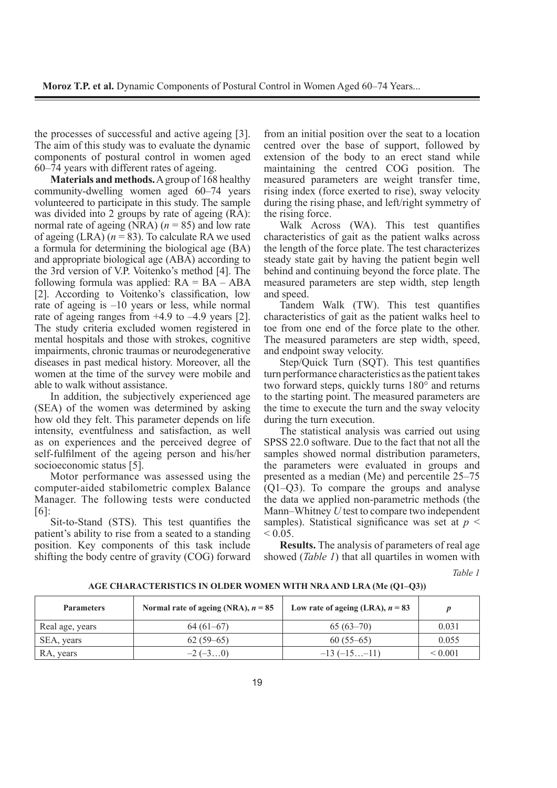the processes of successful and active ageing [3]. The aim of this study was to evaluate the dynamic components of postural control in women aged 60–74 years with different rates of ageing.

**Materials and methods.** A group of 168 healthy community-dwelling women aged 60–74 years volunteered to participate in this study. The sample was divided into 2 groups by rate of ageing (RA): normal rate of ageing  $(NRA)$  ( $n = 85$ ) and low rate of ageing  $(LRA)$  ( $n = 83$ ). To calculate RA we used a formula for determining the biological age (BA) and appropriate biological age (ABA) according to the 3rd version of V.P. Voitenko's method [4]. The following formula was applied:  $RA = BA - ABA$ [2]. According to Voitenko's classification, low rate of ageing is –10 years or less, while normal rate of ageing ranges from +4.9 to –4.9 years [2]. The study criteria excluded women registered in mental hospitals and those with strokes, cognitive impairments, chronic traumas or neurodegenerative diseases in past medical history. Moreover, all the women at the time of the survey were mobile and able to walk without assistance.

In addition, the subjectively experienced age (SEA) of the women was determined by asking how old they felt. This parameter depends on life intensity, eventfulness and satisfaction, as well as on experiences and the perceived degree of self-fulfilment of the ageing person and his/her socioeconomic status [5].

Motor performance was assessed using the computer-aided stabilometric complex Balance Manager. The following tests were conducted [6]:

Sit-to-Stand (STS). This test quantifies the patient's ability to rise from a seated to a standing position. Key components of this task include shifting the body centre of gravity (COG) forward from an initial position over the seat to a location centred over the base of support, followed by extension of the body to an erect stand while maintaining the centred COG position. The measured parameters are weight transfer time, rising index (force exerted to rise), sway velocity during the rising phase, and left/right symmetry of the rising force.

Walk Across (WA). This test quantifies characteristics of gait as the patient walks across the length of the force plate. The test characterizes steady state gait by having the patient begin well behind and continuing beyond the force plate. The measured parameters are step width, step length and speed.

Tandem Walk (TW). This test quantifies characteristics of gait as the patient walks heel to toe from one end of the force plate to the other. The measured parameters are step width, speed, and endpoint sway velocity.

Step/Quick Turn (SQT). This test quantifies turn performance characteristics as the patient takes two forward steps, quickly turns 180° and returns to the starting point. The measured parameters are the time to execute the turn and the sway velocity during the turn execution.

The statistical analysis was carried out using SPSS 22.0 software. Due to the fact that not all the samples showed normal distribution parameters, the parameters were evaluated in groups and presented as a median (Me) and percentile 25–75 (Q1–Q3). To compare the groups and analyse the data we applied non-parametric methods (the Mann–Whitney *U* test to compare two independent samples). Statistical significance was set at  $p <$  $< 0.05$ .

**Results.** The analysis of parameters of real age showed (*Table 1*) that all quartiles in women with

*Table 1*

| <b>Parameters</b> | Normal rate of ageing (NRA), $n = 85$ | Low rate of ageing (LRA), $n = 83$ |                   |
|-------------------|---------------------------------------|------------------------------------|-------------------|
| Real age, years   | $64(61-67)$                           | $65(63-70)$                        | 0.031             |
| SEA, years        | $62(59-65)$                           | $60(55-65)$                        | 0.055             |
| RA, years         | $-2(-30)$                             | $-13(-15-11)$                      | ${}_{\leq 0.001}$ |

**AGE CHARACTERISTICS IN OLDER WOMEN WITH NRA AND LRA (Mе (Q1–Q3))**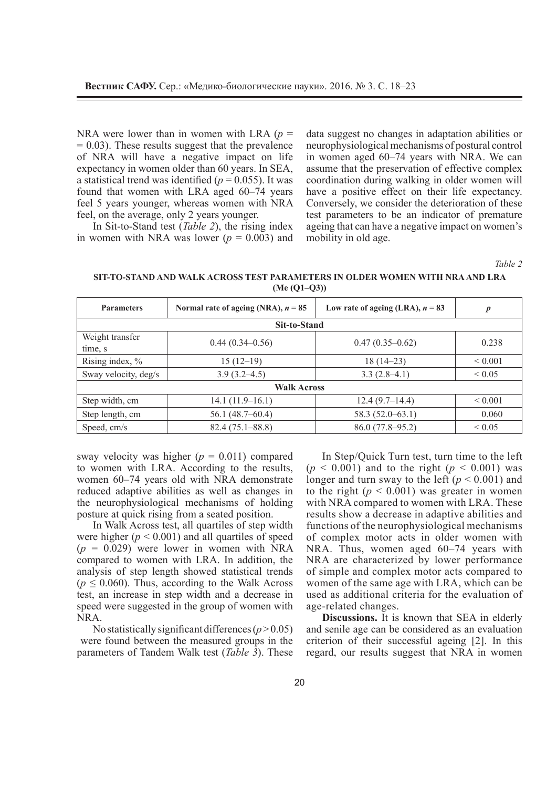NRA were lower than in women with LRA  $(p =$  $= 0.03$ ). These results suggest that the prevalence of NRA will have a negative impact on life expectancy in women older than 60 years. In SEA, a statistical trend was identified ( $p = 0.055$ ). It was found that women with LRA aged 60–74 years feel 5 years younger, whereas women with NRA feel, on the average, only 2 years younger.

In Sit-to-Stand test (*Table 2*), the rising index in women with NRA was lower  $(p = 0.003)$  and data suggest no changes in adaptation abilities or neurophysiological mechanisms of postural control in women aged 60–74 years with NRA. We can assume that the preservation of effective complex coordination during walking in older women will have a positive effect on their life expectancy. Conversely, we consider the deterioration of these test parameters to be an indicator of premature ageing that can have a negative impact on women's mobility in old age.

*Table 2*

**SIT-TO-STAND AND WALK ACROSS TEST PARAMETERS IN OLDER WOMEN WITH NRA AND LRA (Me (Q1–Q3))**

| <b>Parameters</b>          | Normal rate of ageing (NRA), $n = 85$ | Low rate of ageing (LRA), $n = 83$ | $\boldsymbol{p}$ |  |  |  |
|----------------------------|---------------------------------------|------------------------------------|------------------|--|--|--|
| Sit-to-Stand               |                                       |                                    |                  |  |  |  |
| Weight transfer<br>time, s | $0.44(0.34 - 0.56)$                   | $0.47(0.35-0.62)$                  | 0.238            |  |  |  |
| Rising index, %            | $15(12-19)$                           | $18(14-23)$                        | ${}_{0.001}$     |  |  |  |
| Sway velocity, deg/s       | $3.9(3.2 - 4.5)$                      | $3.3(2.8-4.1)$                     | ${}< 0.05$       |  |  |  |
| <b>Walk Across</b>         |                                       |                                    |                  |  |  |  |
| Step width, cm             | $14.1(11.9-16.1)$                     | $12.4(9.7-14.4)$                   | ${}_{0.001}$     |  |  |  |
| Step length, cm            | 56.1(48.7–60.4)                       | $58.3(52.0-63.1)$                  | 0.060            |  |  |  |
| Speed, cm/s                | $82.4(75.1 - 88.8)$                   | $86.0(77.8-95.2)$                  | ${}_{0.05}$      |  |  |  |

sway velocity was higher  $(p = 0.011)$  compared to women with LRA. According to the results, women 60–74 years old with NRA demonstrate reduced adaptive abilities as well as changes in the neurophysiological mechanisms of holding posture at quick rising from a seated position.

In Walk Across test, all quartiles of step width were higher  $(p < 0.001)$  and all quartiles of speed  $(p = 0.029)$  were lower in women with NRA compared to women with LRA. In addition, the analysis of step length showed statistical trends  $(p \le 0.060)$ . Thus, according to the Walk Across test, an increase in step width and a decrease in speed were suggested in the group of women with NRA.

No statistically significant differences  $(p > 0.05)$  were found between the measured groups in the parameters of Tandem Walk test (*Table 3*). These

In Step/Quick Turn test, turn time to the left  $(p < 0.001)$  and to the right  $(p < 0.001)$  was longer and turn sway to the left ( $p < 0.001$ ) and to the right  $(p < 0.001)$  was greater in women with NRA compared to women with LRA. These results show a decrease in adaptive abilities and functions of the neurophysiological mechanisms of complex motor acts in older women with NRA. Thus, women aged 60–74 years with NRA are characterized by lower performance of simple and complex motor acts compared to women of the same age with LRA, which can be used as additional criteria for the evaluation of age-related changes.

**Discussions.** It is known that SEA in elderly and senile age can be considered as an evaluation criterion of their successful ageing [2]. In this regard, our results suggest that NRA in women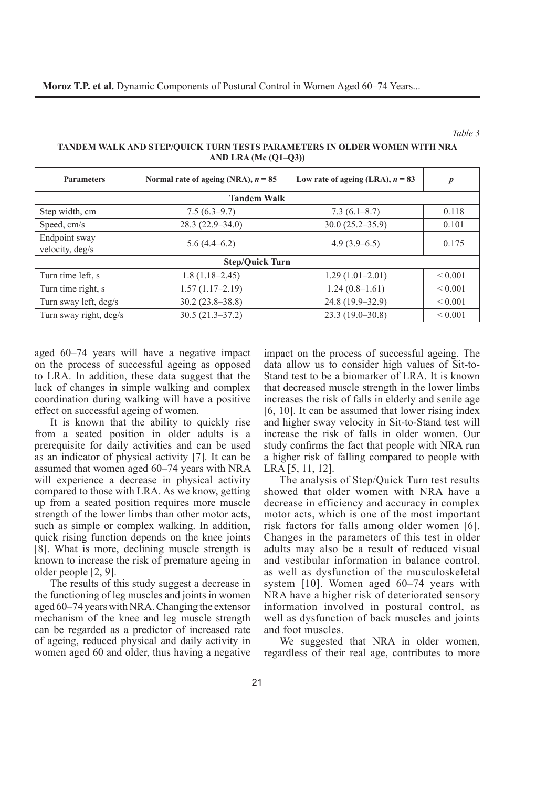#### *Table 3*

**TANDEM WALK AND STEP/QUICK TURN TESTS PARAMETERS IN OLDER WOMEN WITH NRA AND LRA (Me (Q1–Q3))**

| <b>Parameters</b>                | Normal rate of ageing (NRA), $n = 85$ | Low rate of ageing (LRA), $n = 83$ | $\boldsymbol{p}$ |  |  |
|----------------------------------|---------------------------------------|------------------------------------|------------------|--|--|
| <b>Tandem Walk</b>               |                                       |                                    |                  |  |  |
| Step width, cm                   | $7.5(6.3-9.7)$                        | $7.3(6.1-8.7)$                     | 0.118            |  |  |
| Speed, cm/s                      | $28.3(22.9 - 34.0)$                   | $30.0(25.2 - 35.9)$                | 0.101            |  |  |
| Endpoint sway<br>velocity, deg/s | $5.6(4.4-6.2)$                        | $4.9(3.9-6.5)$                     | 0.175            |  |  |
| <b>Step/Quick Turn</b>           |                                       |                                    |                  |  |  |
| Turn time left, s                | $1.8(1.18-2.45)$                      | $1.29(1.01-2.01)$                  | ${}_{0.001}$     |  |  |
| Turn time right, s               | $1.57(1.17-2.19)$                     | $1.24(0.8-1.61)$                   | ${}_{0.001}$     |  |  |
| Turn sway left, deg/s            | $30.2(23.8-38.8)$                     | 24.8 (19.9–32.9)                   | ${}< 0.001$      |  |  |
| Turn sway right, deg/s           | $30.5(21.3-37.2)$                     | $23.3(19.0-30.8)$                  | ${}_{0.001}$     |  |  |

aged 60–74 years will have a negative impact on the process of successful ageing as opposed to LRA. In addition, these data suggest that the lack of changes in simple walking and complex coordination during walking will have a positive effect on successful ageing of women.

It is known that the ability to quickly rise from a seated position in older adults is a prerequisite for daily activities and can be used as an indicator of physical activity [7]. It can be assumed that women aged 60–74 years with NRA will experience a decrease in physical activity compared to those with LRA. As we know, getting up from a seated position requires more muscle strength of the lower limbs than other motor acts, such as simple or complex walking. In addition, quick rising function depends on the knee joints [8]. What is more, declining muscle strength is known to increase the risk of premature ageing in older people [2, 9].

The results of this study suggest a decrease in the functioning of leg muscles and joints in women aged 60–74 years with NRA. Changing the extensor mechanism of the knee and leg muscle strength can be regarded as a predictor of increased rate of ageing, reduced physical and daily activity in women aged 60 and older, thus having a negative impact on the process of successful ageing. The data allow us to consider high values of Sit-to-Stand test to be a biomarker of LRA. It is known that decreased muscle strength in the lower limbs increases the risk of falls in elderly and senile age [6, 10]. It can be assumed that lower rising index and higher sway velocity in Sit-to-Stand test will increase the risk of falls in older women. Our study confirms the fact that people with NRA run a higher risk of falling compared to people with LRA [5, 11, 12].

The analysis of Step/Quick Turn test results showed that older women with NRA have a decrease in efficiency and accuracy in complex motor acts, which is one of the most important risk factors for falls among older women [6]. Changes in the parameters of this test in older adults may also be a result of reduced visual and vestibular information in balance control, as well as dysfunction of the musculoskeletal system [10]. Women aged 60–74 years with NRA have a higher risk of deteriorated sensory information involved in postural control, as well as dysfunction of back muscles and joints and foot muscles.

We suggested that NRA in older women, regardless of their real age, contributes to more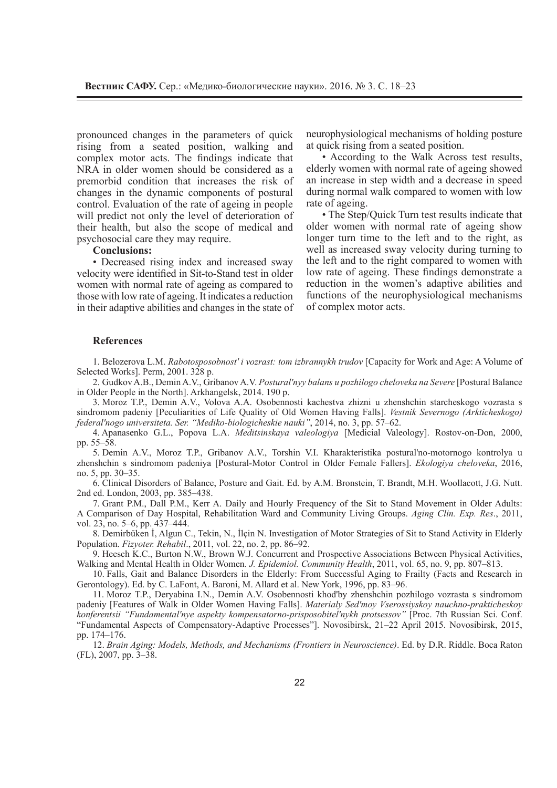pronounced changes in the parameters of quick rising from a seated position, walking and complex motor acts. The findings indicate that NRA in older women should be considered as a premorbid condition that increases the risk of changes in the dynamic components of postural control. Evaluation of the rate of ageing in people will predict not only the level of deterioration of their health, but also the scope of medical and psychosocial care they may require.

### **Conclusions:**

• Decreased rising index and increased sway velocity were identified in Sit-to-Stand test in older women with normal rate of ageing as compared to those with low rate of ageing. It indicates a reduction in their adaptive abilities and changes in the state of neurophysiological mechanisms of holding posture at quick rising from a seated position.

• According to the Walk Across test results, elderly women with normal rate of ageing showed an increase in step width and a decrease in speed during normal walk compared to women with low rate of ageing.

• The Step/Quick Turn test results indicate that older women with normal rate of ageing show longer turn time to the left and to the right, as well as increased sway velocity during turning to the left and to the right compared to women with low rate of ageing. These findings demonstrate a reduction in the women's adaptive abilities and functions of the neurophysiological mechanisms of complex motor acts.

#### **References**

1. Belozerova L.M. *Rabotosposobnost' i vozrast: tom izbrannykh trudov* [Capacity for Work and Age: A Volume of Selected Works]. Perm, 2001. 328 p.

2. Gudkov A.B., Demin A.V., Gribanov A.V. *Postural'nyy balans u pozhilogo cheloveka na Severe* [Postural Balance in Older People in the North]. Arkhangelsk, 2014. 190 p.

3. Moroz T.P., Demin A.V., Volova A.A. Osobennosti kachestva zhizni u zhenshchin starcheskogo vozrasta s sindromom padeniy [Peculiarities of Life Quality of Old Women Having Falls]. *Vestnik Severnogo (Arkticheskogo) federal'nogo universiteta. Ser. "Mediko-biologicheskie nauki"*, 2014, no. 3, pp. 57–62.

4. Apanasenko G.L., Popova L.A. *Meditsinskaya valeologiya* [Medicial Valeology]. Rostov-on-Don, 2000, pp. 55–58.

5. Demin A.V., Moroz T.P., Gribanov A.V., Torshin V.I. Kharakteristika postural'no-motornogo kontrolya u zhenshchin s sindromom padeniya [Postural-Motor Control in Older Female Fallers]. *Ekologiya cheloveka*, 2016, no. 5, pp. 30–35.

6. Clinical Disorders of Balance, Posture and Gait. Ed. by A.M. Bronstein, T. Brandt, M.H. Woollacott, J.G. Nutt. 2nd ed. London, 2003, pp. 385–438.

7. Grant P.M., Dall P.M., Kerr A. Daily and Hourly Frequency of the Sit to Stand Movement in Older Adults: A Comparison of Day Hospital, Rehabilitation Ward and Community Living Groups. *Aging Clin. Exp. Res*., 2011, vol. 23, no. 5–6, pp. 437–444.

8. Demirbüken İ, Algun C., Tekin, N., İlçin N. Investigation of Motor Strategies of Sit to Stand Activity in Elderly Population. *Fizyoter. Rehabil*., 2011, vol. 22, no. 2, pp. 86–92.

9. Heesch K.C., Burton N.W., Brown W.J. Concurrent and Prospective Associations Between Physical Activities, Walking and Mental Health in Older Women. *J. Epidemiol. Community Health*, 2011, vol. 65, no. 9, pp. 807–813.

10. Falls, Gait and Balance Disorders in the Elderly: From Successful Aging to Frailty (Facts and Research in Gerontology). Ed. by C. LaFont, A. Baroni, M. Allard et al. New York, 1996, pp. 83–96.

11. Moroz T.P., Deryabina I.N., Demin A.V. Osobennosti khod'by zhenshchin pozhilogo vozrasta s sindromom padeniy [Features of Walk in Older Women Having Falls]. *Materialy Sed'moy Vserossiyskoy nauchno-prakticheskoy konferentsii "Fundamental'nye aspekty kompensatorno-prisposobitel'nykh protsessov"* [Proc. 7th Russian Sci. Conf. "Fundamental Aspects of Compensatory-Adaptive Processes"]. Novosibirsk, 21–22 April 2015. Novosibirsk, 2015, pp. 174–176.

12. *Brain Aging: Models, Methods, and Mechanisms (Frontiers in Neuroscience)*. Ed. by D.R. Riddle. Boca Raton (FL), 2007, pp. 3–38.